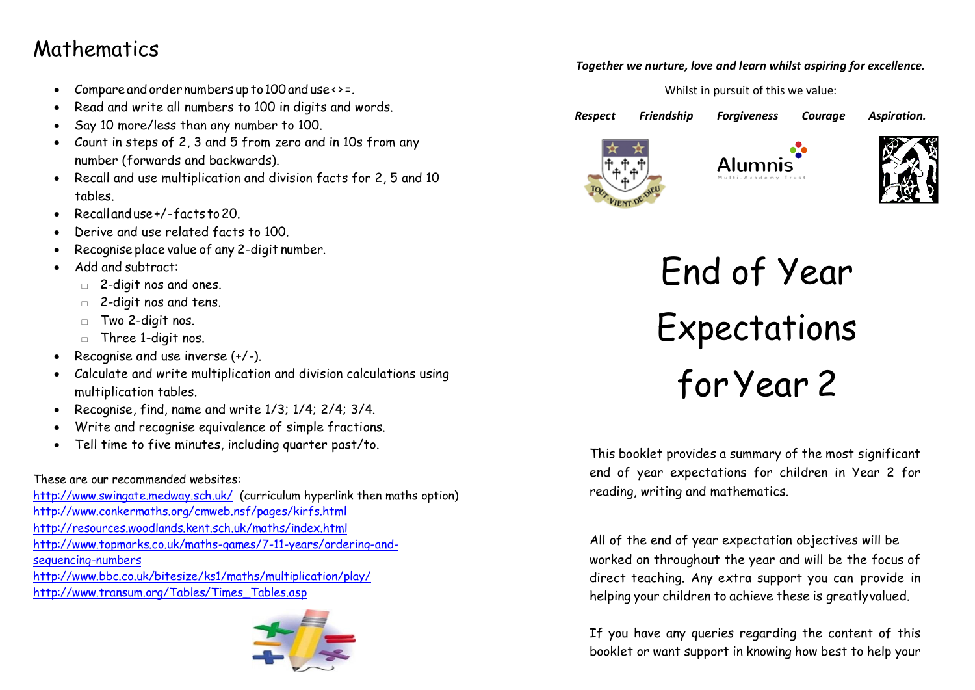## Mathematics

- Compare and order numbers up to 100 and use <> =.
- Read and write all numbers to 100 in digits and words.
- Say 10 more/less than any number to 100.
- Count in steps of 2, 3 and 5 from zero and in 10s from any number (forwards and backwards).
- Recall and use multiplication and division facts for 2, 5 and 10 tables.
- Recallanduse+/-facts to20.
- Derive and use related facts to 100.
- Recognise place value of any 2-digit number.
- Add and subtract:
	- □ 2-digit nos and ones.
	- □ 2-digit nos and tens.
	- □ Two 2-digit nos.
	- $\Box$  Three 1-digit nos.
- Recognise and use inverse (+/-).
- Calculate and write multiplication and division calculations using multiplication tables.
- Recognise, find, name and write 1/3; 1/4; 2/4; 3/4.
- Write and recognise equivalence of simple fractions.
- Tell time to five minutes, including quarter past/to.

### These are our recommended websites:

<http://www.swingate.medway.sch.uk/>(curriculum hyperlink then maths option) <http://www.conkermaths.org/cmweb.nsf/pages/kirfs.html> <http://resources.woodlands.kent.sch.uk/maths/index.html> [http://www.topmarks.co.uk/maths-games/7-11-years/ordering-and](http://www.topmarks.co.uk/maths-games/7-11-years/ordering-and-sequencing-numbers)[sequencing-numbers](http://www.topmarks.co.uk/maths-games/7-11-years/ordering-and-sequencing-numbers) <http://www.bbc.co.uk/bitesize/ks1/maths/multiplication/play/> [http://www.transum.org/Tables/Times\\_Tables.asp](http://www.transum.org/Tables/Times_Tables.asp)



#### *Together we nurture, love and learn whilst aspiring for excellence.*

Whilst in pursuit of this we value:

*Respect Friendship Forgiveness Courage Aspiration.* 







End of Year Expectations forYear 2

This booklet provides a summary of the most significant end of year expectations for children in Year 2 for reading, writing and mathematics.

All of the end of year expectation objectives will be worked on throughout the year and will be the focus of direct teaching. Any extra support you can provide in helping your children to achieve these is greatlyvalued.

If you have any queries regarding the content of this booklet or want support in knowing how best to help your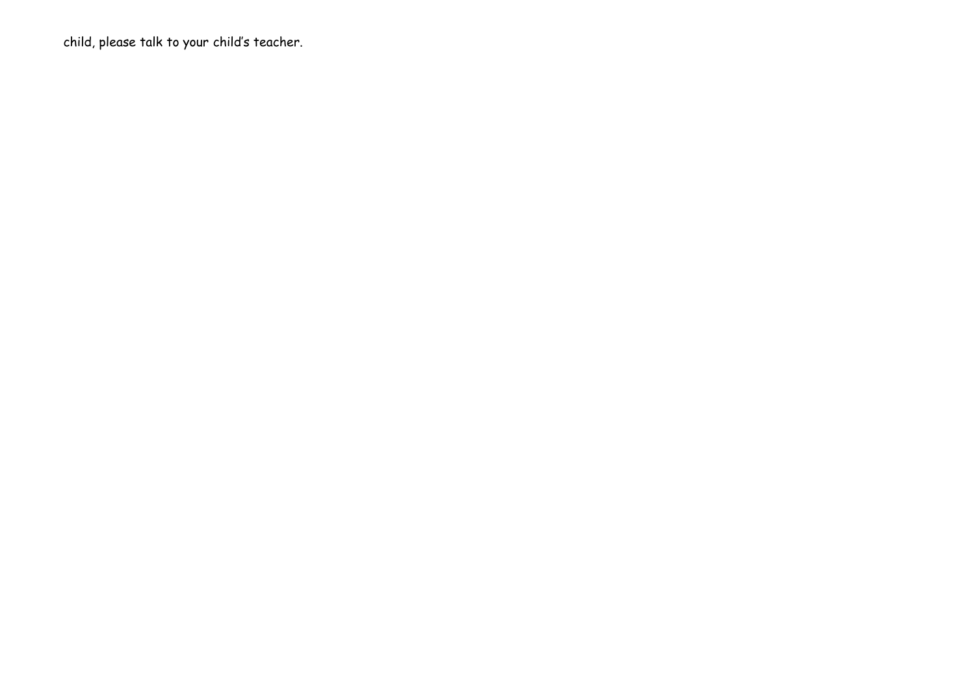child, please talk to your child's teacher.